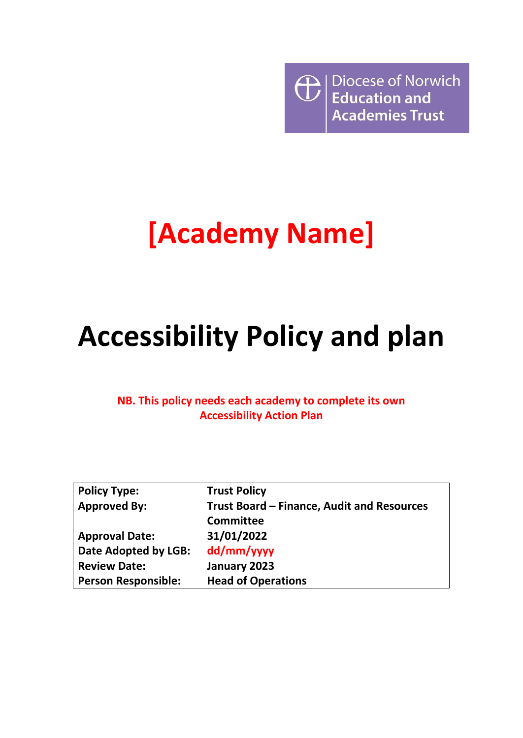$\bigoplus$  Diocese of Norwich **Academies Trust** 

# **[Academy Name]**

# **Accessibility Policy and plan**

**NB. This policy needs each academy to complete its own Accessibility Action Plan**

| <b>Policy Type:</b>        | <b>Trust Policy</b>                        |
|----------------------------|--------------------------------------------|
| <b>Approved By:</b>        | Trust Board – Finance, Audit and Resources |
|                            | <b>Committee</b>                           |
| <b>Approval Date:</b>      | 31/01/2022                                 |
| Date Adopted by LGB:       | dd/mm/yyyy                                 |
| <b>Review Date:</b>        | January 2023                               |
| <b>Person Responsible:</b> | <b>Head of Operations</b>                  |
|                            |                                            |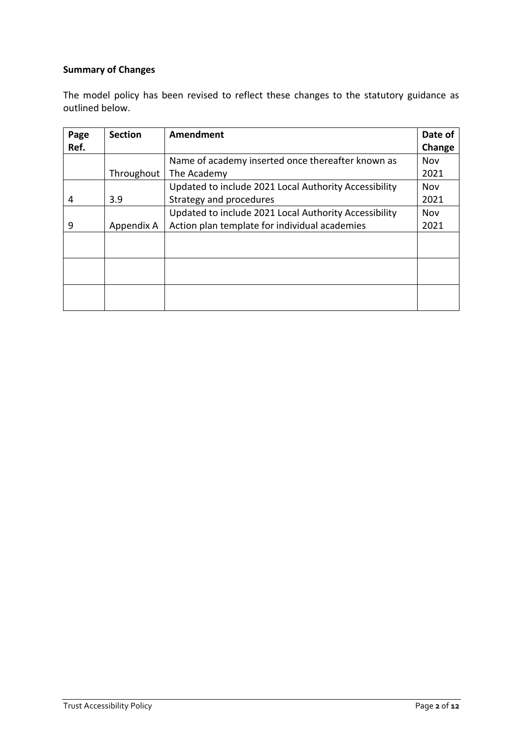### **Summary of Changes**

The model policy has been revised to reflect these changes to the statutory guidance as outlined below.

| Page            | <b>Section</b> | <b>Amendment</b>                                      | Date of    |
|-----------------|----------------|-------------------------------------------------------|------------|
| Ref.            |                |                                                       | Change     |
|                 |                | Name of academy inserted once thereafter known as     | Nov        |
|                 | Throughout     | The Academy                                           | 2021       |
|                 |                | Updated to include 2021 Local Authority Accessibility | Nov        |
| 4               | 3.9            | Strategy and procedures                               | 2021       |
|                 |                | Updated to include 2021 Local Authority Accessibility | <b>Nov</b> |
| Appendix A<br>9 |                | Action plan template for individual academies         |            |
|                 |                |                                                       |            |
|                 |                |                                                       |            |
|                 |                |                                                       |            |
|                 |                |                                                       |            |
|                 |                |                                                       |            |
|                 |                |                                                       |            |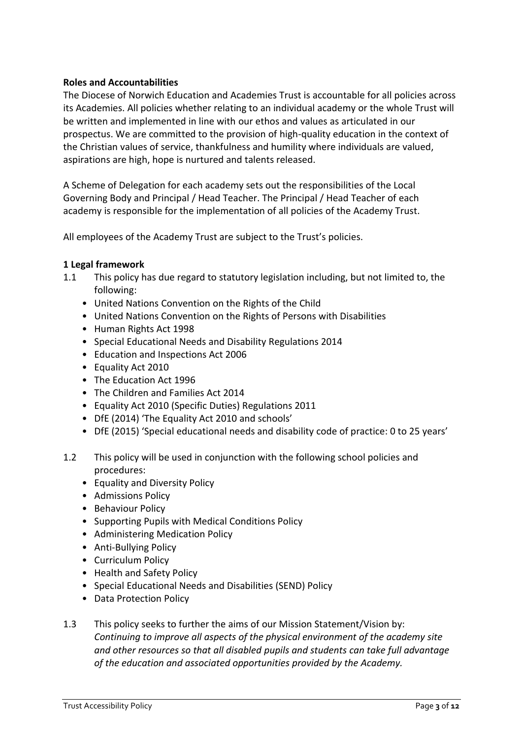### **Roles and Accountabilities**

The Diocese of Norwich Education and Academies Trust is accountable for all policies across its Academies. All policies whether relating to an individual academy or the whole Trust will be written and implemented in line with our ethos and values as articulated in our prospectus. We are committed to the provision of high-quality education in the context of the Christian values of service, thankfulness and humility where individuals are valued, aspirations are high, hope is nurtured and talents released.

A Scheme of Delegation for each academy sets out the responsibilities of the Local Governing Body and Principal / Head Teacher. The Principal / Head Teacher of each academy is responsible for the implementation of all policies of the Academy Trust.

All employees of the Academy Trust are subject to the Trust's policies.

### **1 Legal framework**

- 1.1 This policy has due regard to statutory legislation including, but not limited to, the following:
	- United Nations Convention on the Rights of the Child
	- United Nations Convention on the Rights of Persons with Disabilities
	- Human Rights Act 1998
	- Special Educational Needs and Disability Regulations 2014
	- Education and Inspections Act 2006
	- Equality Act 2010
	- The Education Act 1996
	- The Children and Families Act 2014
	- Equality Act 2010 (Specific Duties) Regulations 2011
	- DfE (2014) 'The Equality Act 2010 and schools'
	- DfE (2015) 'Special educational needs and disability code of practice: 0 to 25 years'
- 1.2 This policy will be used in conjunction with the following school policies and procedures:
	- Equality and Diversity Policy
	- Admissions Policy
	- Behaviour Policy
	- Supporting Pupils with Medical Conditions Policy
	- Administering Medication Policy
	- Anti-Bullying Policy
	- Curriculum Policy
	- Health and Safety Policy
	- Special Educational Needs and Disabilities (SEND) Policy
	- Data Protection Policy
- 1.3 This policy seeks to further the aims of our Mission Statement/Vision by: *Continuing to improve all aspects of the physical environment of the academy site and other resources so that all disabled pupils and students can take full advantage of the education and associated opportunities provided by the Academy.*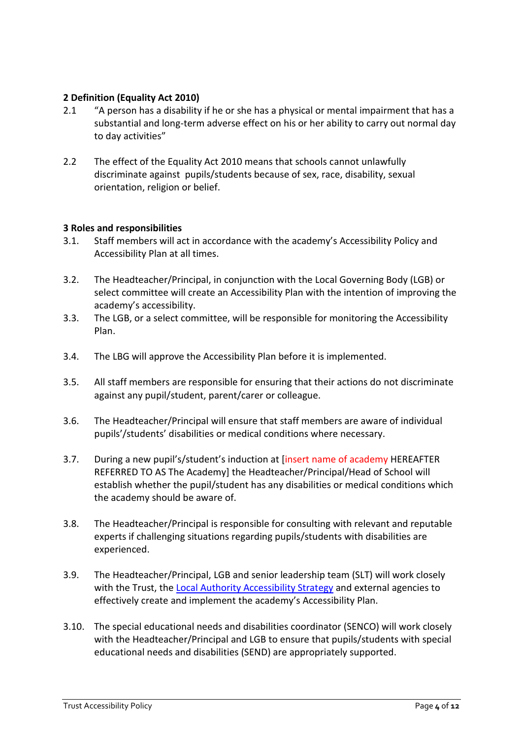### **2 Definition (Equality Act 2010)**

- 2.1 "A person has a disability if he or she has a physical or mental impairment that has a substantial and long-term adverse effect on his or her ability to carry out normal day to day activities"
- 2.2 The effect of the Equality Act 2010 means that schools cannot unlawfully discriminate against pupils/students because of sex, race, disability, sexual orientation, religion or belief.

### **3 Roles and responsibilities**

- 3.1. Staff members will act in accordance with the academy's Accessibility Policy and Accessibility Plan at all times.
- 3.2. The Headteacher/Principal, in conjunction with the Local Governing Body (LGB) or select committee will create an Accessibility Plan with the intention of improving the academy's accessibility.
- 3.3. The LGB, or a select committee, will be responsible for monitoring the Accessibility Plan.
- 3.4. The LBG will approve the Accessibility Plan before it is implemented.
- 3.5. All staff members are responsible for ensuring that their actions do not discriminate against any pupil/student, parent/carer or colleague.
- 3.6. The Headteacher/Principal will ensure that staff members are aware of individual pupils'/students' disabilities or medical conditions where necessary.
- 3.7. During a new pupil's/student's induction at [insert name of academy HEREAFTER REFERRED TO AS The Academy] the Headteacher/Principal/Head of School will establish whether the pupil/student has any disabilities or medical conditions which the academy should be aware of.
- 3.8. The Headteacher/Principal is responsible for consulting with relevant and reputable experts if challenging situations regarding pupils/students with disabilities are experienced.
- 3.9. The Headteacher/Principal, LGB and senior leadership team (SLT) will work closely with the Trust, the Local Authority [Accessibility Strategy](https://www.norfolk.gov.uk/what-we-do-and-how-we-work/policy-performance-and-partnerships/policies-and-strategies/education-and-learning-policies/accessibility-strategy) and external agencies to effectively create and implement the academy's Accessibility Plan.
- 3.10. The special educational needs and disabilities coordinator (SENCO) will work closely with the Headteacher/Principal and LGB to ensure that pupils/students with special educational needs and disabilities (SEND) are appropriately supported.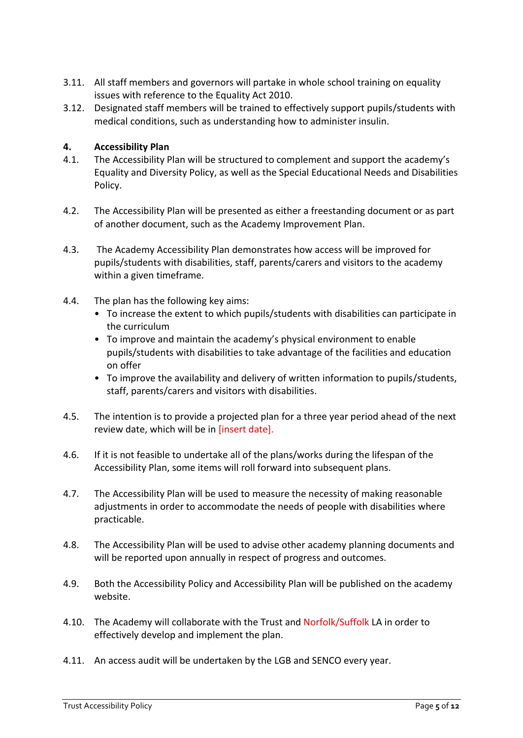- 3.11. All staff members and governors will partake in whole school training on equality issues with reference to the Equality Act 2010.
- 3.12. Designated staff members will be trained to effectively support pupils/students with medical conditions, such as understanding how to administer insulin.

### **4. Accessibility Plan**

- 4.1. The Accessibility Plan will be structured to complement and support the academy's Equality and Diversity Policy, as well as the Special Educational Needs and Disabilities Policy.
- 4.2. The Accessibility Plan will be presented as either a freestanding document or as part of another document, such as the Academy Improvement Plan.
- 4.3. The Academy Accessibility Plan demonstrates how access will be improved for pupils/students with disabilities, staff, parents/carers and visitors to the academy within a given timeframe.
- 4.4. The plan has the following key aims:
	- To increase the extent to which pupils/students with disabilities can participate in the curriculum
	- To improve and maintain the academy's physical environment to enable pupils/students with disabilities to take advantage of the facilities and education on offer
	- To improve the availability and delivery of written information to pupils/students, staff, parents/carers and visitors with disabilities.
- 4.5. The intention is to provide a projected plan for a three year period ahead of the next review date, which will be in [insert date].
- 4.6. If it is not feasible to undertake all of the plans/works during the lifespan of the Accessibility Plan, some items will roll forward into subsequent plans.
- 4.7. The Accessibility Plan will be used to measure the necessity of making reasonable adjustments in order to accommodate the needs of people with disabilities where practicable.
- 4.8. The Accessibility Plan will be used to advise other academy planning documents and will be reported upon annually in respect of progress and outcomes.
- 4.9. Both the Accessibility Policy and Accessibility Plan will be published on the academy website.
- 4.10. The Academy will collaborate with the Trust and Norfolk/Suffolk LA in order to effectively develop and implement the plan.
- 4.11. An access audit will be undertaken by the LGB and SENCO every year.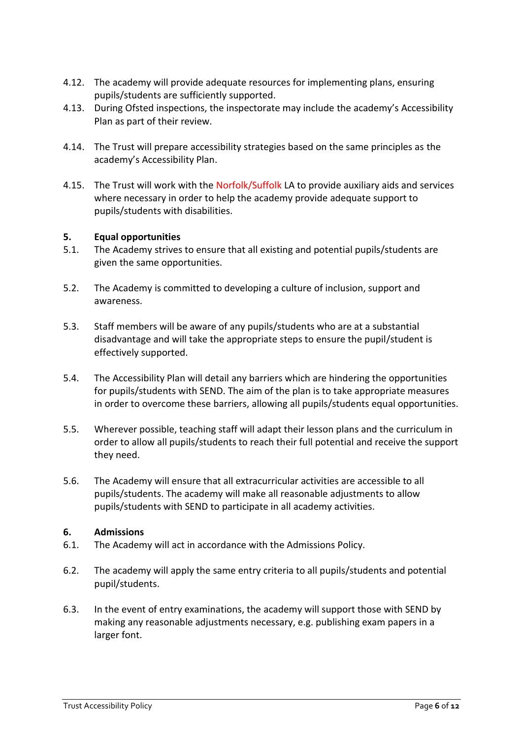- 4.12. The academy will provide adequate resources for implementing plans, ensuring pupils/students are sufficiently supported.
- 4.13. During Ofsted inspections, the inspectorate may include the academy's Accessibility Plan as part of their review.
- 4.14. The Trust will prepare accessibility strategies based on the same principles as the academy's Accessibility Plan.
- 4.15. The Trust will work with the Norfolk/Suffolk LA to provide auxiliary aids and services where necessary in order to help the academy provide adequate support to pupils/students with disabilities.

### **5. Equal opportunities**

- 5.1. The Academy strives to ensure that all existing and potential pupils/students are given the same opportunities.
- 5.2. The Academy is committed to developing a culture of inclusion, support and awareness.
- 5.3. Staff members will be aware of any pupils/students who are at a substantial disadvantage and will take the appropriate steps to ensure the pupil/student is effectively supported.
- 5.4. The Accessibility Plan will detail any barriers which are hindering the opportunities for pupils/students with SEND. The aim of the plan is to take appropriate measures in order to overcome these barriers, allowing all pupils/students equal opportunities.
- 5.5. Wherever possible, teaching staff will adapt their lesson plans and the curriculum in order to allow all pupils/students to reach their full potential and receive the support they need.
- 5.6. The Academy will ensure that all extracurricular activities are accessible to all pupils/students. The academy will make all reasonable adjustments to allow pupils/students with SEND to participate in all academy activities.

### **6. Admissions**

- 6.1. The Academy will act in accordance with the Admissions Policy.
- 6.2. The academy will apply the same entry criteria to all pupils/students and potential pupil/students.
- 6.3. In the event of entry examinations, the academy will support those with SEND by making any reasonable adjustments necessary, e.g. publishing exam papers in a larger font.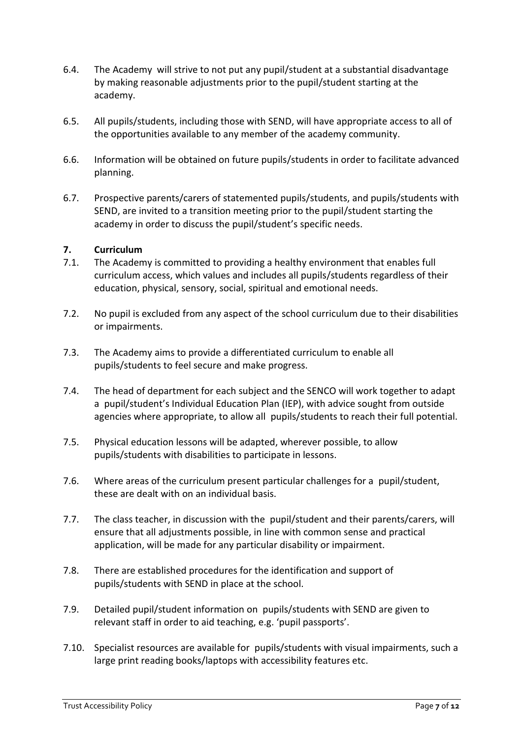- 6.4. The Academy will strive to not put any pupil/student at a substantial disadvantage by making reasonable adjustments prior to the pupil/student starting at the academy.
- 6.5. All pupils/students, including those with SEND, will have appropriate access to all of the opportunities available to any member of the academy community.
- 6.6. Information will be obtained on future pupils/students in order to facilitate advanced planning.
- 6.7. Prospective parents/carers of statemented pupils/students, and pupils/students with SEND, are invited to a transition meeting prior to the pupil/student starting the academy in order to discuss the pupil/student's specific needs.

### **7. Curriculum**

- 7.1. The Academy is committed to providing a healthy environment that enables full curriculum access, which values and includes all pupils/students regardless of their education, physical, sensory, social, spiritual and emotional needs.
- 7.2. No pupil is excluded from any aspect of the school curriculum due to their disabilities or impairments.
- 7.3. The Academy aims to provide a differentiated curriculum to enable all pupils/students to feel secure and make progress.
- 7.4. The head of department for each subject and the SENCO will work together to adapt a pupil/student's Individual Education Plan (IEP), with advice sought from outside agencies where appropriate, to allow all pupils/students to reach their full potential.
- 7.5. Physical education lessons will be adapted, wherever possible, to allow pupils/students with disabilities to participate in lessons.
- 7.6. Where areas of the curriculum present particular challenges for a pupil/student, these are dealt with on an individual basis.
- 7.7. The class teacher, in discussion with the pupil/student and their parents/carers, will ensure that all adjustments possible, in line with common sense and practical application, will be made for any particular disability or impairment.
- 7.8. There are established procedures for the identification and support of pupils/students with SEND in place at the school.
- 7.9. Detailed pupil/student information on pupils/students with SEND are given to relevant staff in order to aid teaching, e.g. 'pupil passports'.
- 7.10. Specialist resources are available for pupils/students with visual impairments, such a large print reading books/laptops with accessibility features etc.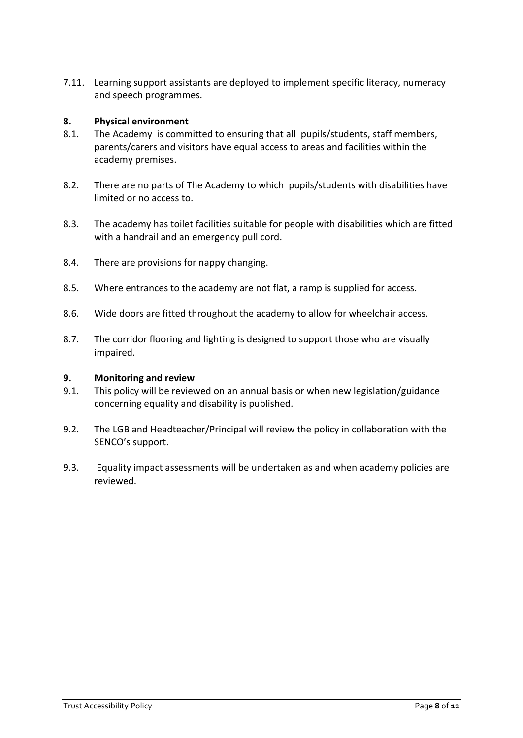7.11. Learning support assistants are deployed to implement specific literacy, numeracy and speech programmes.

### **8. Physical environment**

- 8.1. The Academy is committed to ensuring that all pupils/students, staff members, parents/carers and visitors have equal access to areas and facilities within the academy premises.
- 8.2. There are no parts of The Academy to which pupils/students with disabilities have limited or no access to.
- 8.3. The academy has toilet facilities suitable for people with disabilities which are fitted with a handrail and an emergency pull cord.
- 8.4. There are provisions for nappy changing.
- 8.5. Where entrances to the academy are not flat, a ramp is supplied for access.
- 8.6. Wide doors are fitted throughout the academy to allow for wheelchair access.
- 8.7. The corridor flooring and lighting is designed to support those who are visually impaired.

### **9. Monitoring and review**

- 9.1. This policy will be reviewed on an annual basis or when new legislation/guidance concerning equality and disability is published.
- 9.2. The LGB and Headteacher/Principal will review the policy in collaboration with the SENCO's support.
- 9.3. Equality impact assessments will be undertaken as and when academy policies are reviewed.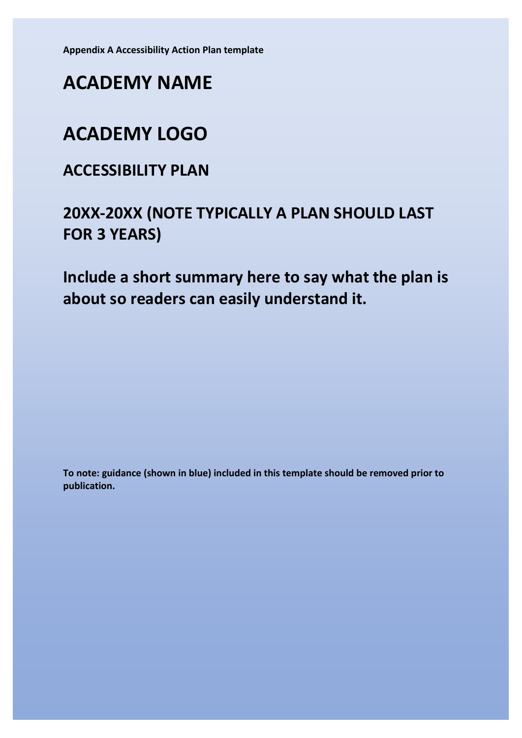**Appendix A Accessibility Action Plan template**

# **ACADEMY NAME**

# **ACADEMY LOGO**

### **ACCESSIBILITY PLAN**

## **20XX-20XX (NOTE TYPICALLY A PLAN SHOULD LAST FOR 3 YEARS)**

**Include a short summary here to say what the plan is about so readers can easily understand it.**

**To note: guidance (shown in blue) included in this template should be removed prior to publication.**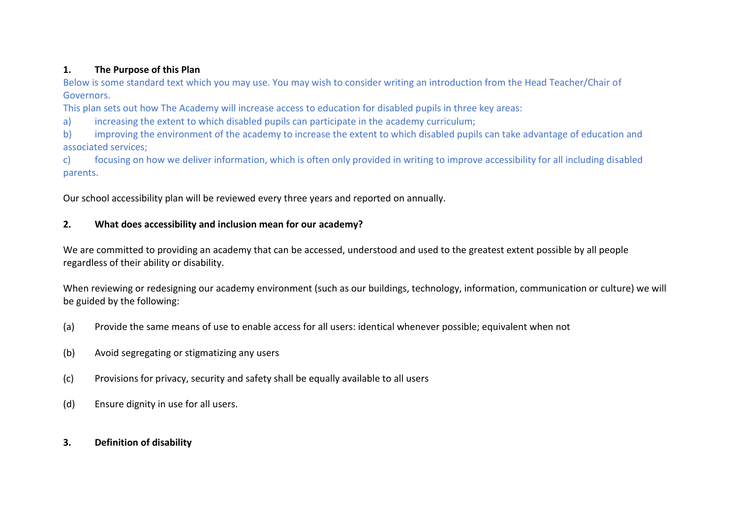### **1. The Purpose of this Plan**

Below is some standard text which you may use. You may wish to consider writing an introduction from the Head Teacher/Chair of Governors.

This plan sets out how The Academy will increase access to education for disabled pupils in three key areas:

a) increasing the extent to which disabled pupils can participate in the academy curriculum;

b) improving the environment of the academy to increase the extent to which disabled pupils can take advantage of education and associated services;

c) focusing on how we deliver information, which is often only provided in writing to improve accessibility for all including disabled parents.

Our school accessibility plan will be reviewed every three years and reported on annually.

### **2. What does accessibility and inclusion mean for our academy?**

We are committed to providing an academy that can be accessed, understood and used to the greatest extent possible by all people regardless of their ability or disability.

When reviewing or redesigning our academy environment (such as our buildings, technology, information, communication or culture) we will be guided by the following:

- (a) Provide the same means of use to enable access for all users: identical whenever possible; equivalent when not
- (b) Avoid segregating or stigmatizing any users
- (c) Provisions for privacy, security and safety shall be equally available to all users
- (d) Ensure dignity in use for all users.

### **3. Definition of disability**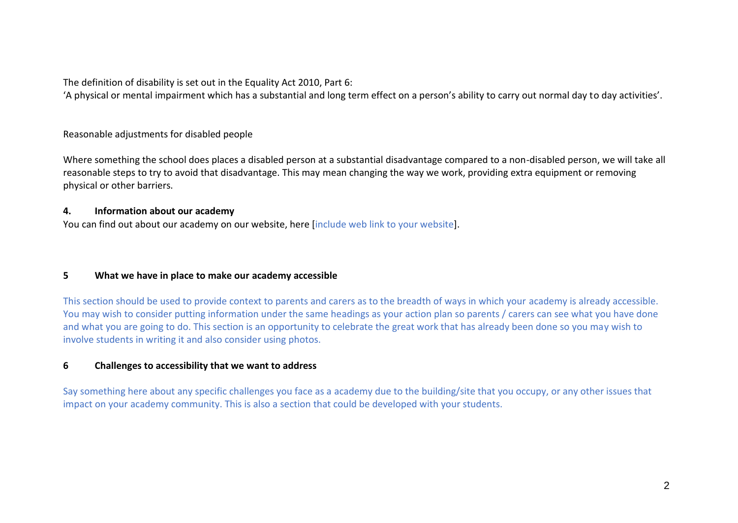The definition of disability is set out in the Equality Act 2010, Part 6:

'A physical or mental impairment which has a substantial and long term effect on a person's ability to carry out normal day to day activities'.

Reasonable adjustments for disabled people

Where something the school does places a disabled person at a substantial disadvantage compared to a non-disabled person, we will take all reasonable steps to try to avoid that disadvantage. This may mean changing the way we work, providing extra equipment or removing physical or other barriers.

### **4. Information about our academy**

You can find out about our academy on our website, here [include web link to your website].

### **5 What we have in place to make our academy accessible**

This section should be used to provide context to parents and carers as to the breadth of ways in which your academy is already accessible. You may wish to consider putting information under the same headings as your action plan so parents / carers can see what you have done and what you are going to do. This section is an opportunity to celebrate the great work that has already been done so you may wish to involve students in writing it and also consider using photos.

### **6 Challenges to accessibility that we want to address**

Say something here about any specific challenges you face as a academy due to the building/site that you occupy, or any other issues that impact on your academy community. This is also a section that could be developed with your students.